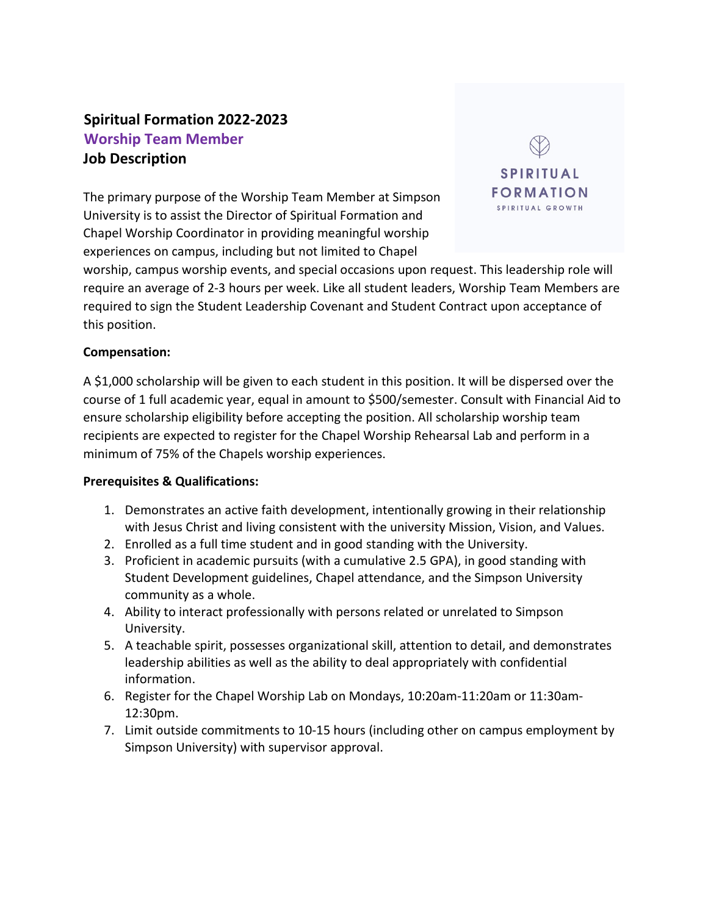# **Spiritual Formation 2022-2023 Worship Team Member Job Description**

The primary purpose of the Worship Team Member at Simpson University is to assist the Director of Spiritual Formation and Chapel Worship Coordinator in providing meaningful worship experiences on campus, including but not limited to Chapel



worship, campus worship events, and special occasions upon request. This leadership role will require an average of 2-3 hours per week. Like all student leaders, Worship Team Members are required to sign the Student Leadership Covenant and Student Contract upon acceptance of this position.

# **Compensation:**

A \$1,000 scholarship will be given to each student in this position. It will be dispersed over the course of 1 full academic year, equal in amount to \$500/semester. Consult with Financial Aid to ensure scholarship eligibility before accepting the position. All scholarship worship team recipients are expected to register for the Chapel Worship Rehearsal Lab and perform in a minimum of 75% of the Chapels worship experiences.

#### **Prerequisites & Qualifications:**

- 1. Demonstrates an active faith development, intentionally growing in their relationship with Jesus Christ and living consistent with the university Mission, Vision, and Values.
- 2. Enrolled as a full time student and in good standing with the University.
- 3. Proficient in academic pursuits (with a cumulative 2.5 GPA), in good standing with Student Development guidelines, Chapel attendance, and the Simpson University community as a whole.
- 4. Ability to interact professionally with persons related or unrelated to Simpson University.
- 5. A teachable spirit, possesses organizational skill, attention to detail, and demonstrates leadership abilities as well as the ability to deal appropriately with confidential information.
- 6. Register for the Chapel Worship Lab on Mondays, 10:20am-11:20am or 11:30am-12:30pm.
- 7. Limit outside commitments to 10-15 hours (including other on campus employment by Simpson University) with supervisor approval.